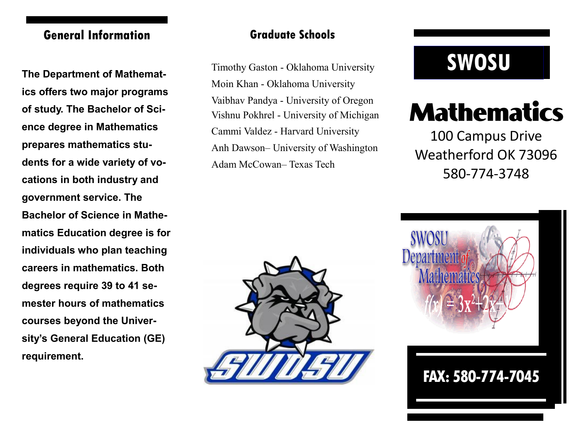# **General Information Graduate Schools**

**ics offers two major programs of study. The Bachelor of Science degree in Mathematics prepares mathematics students for a wide variety of vocations in both industry and government service. The Bachelor of Science in Mathematics Education degree is for individuals who plan teaching careers in mathematics. Both degrees require 39 to 41 semester hours of mathematics courses beyond the University's General Education (GE) requirement.**

Timothy Gaston - Oklahoma University<br> **SWOSU** Timothy Gaston - Oklahoma University Timothy Gaston - Oklahoma University Moin Khan - Oklahoma University Vaibhav Pandya - University of Oregon Vishnu Pokhrel - University of Michigan Cammi Valdez - Harvard University Anh Dawson– University of Washington Adam McCowan– Texas Tech



# **Mathematics**

100 Campus Drive Weatherford OK 73096 580-774-3748

**FAX: 580-774-7045**